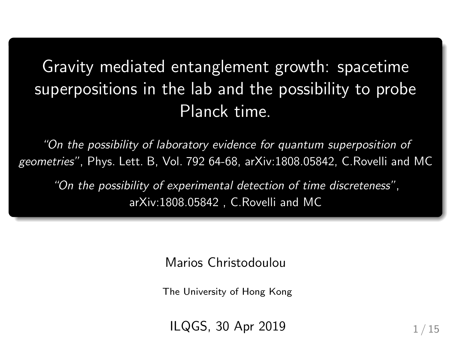# Gravity mediated entanglement growth: spacetime superpositions in the lab and the possibility to probe Planck time.

"On the possibility of laboratory evidence for quantum superposition of geometries", Phys. Lett. B, Vol. 792 64-68, arXiv:1808.05842, C.Rovelli and MC

"On the possibility of experimental detection of time discreteness", arXiv:1808.05842 , C.Rovelli and MC

Marios Christodoulou

The University of Hong Kong

ILQGS, 30 Apr 2019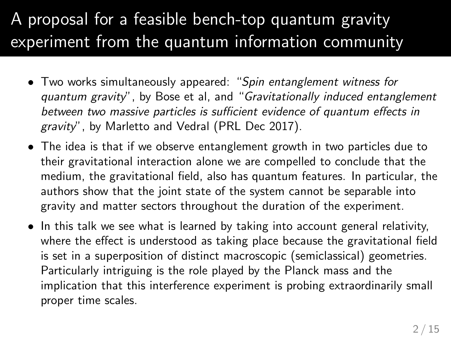# A proposal for a feasible bench-top quantum gravity experiment from the quantum information community

- Two works simultaneously appeared: "Spin entanglement witness for quantum gravity", by Bose et al, and "Gravitationally induced entanglement between two massive particles is sufficient evidence of quantum effects in gravity", by Marletto and Vedral (PRL Dec 2017).
- The idea is that if we observe entanglement growth in two particles due to their gravitational interaction alone we are compelled to conclude that the medium, the gravitational field, also has quantum features. In particular, the authors show that the joint state of the system cannot be separable into gravity and matter sectors throughout the duration of the experiment.
- In this talk we see what is learned by taking into account general relativity, where the effect is understood as taking place because the gravitational field is set in a superposition of distinct macroscopic (semiclassical) geometries. Particularly intriguing is the role played by the Planck mass and the implication that this interference experiment is probing extraordinarily small proper time scales.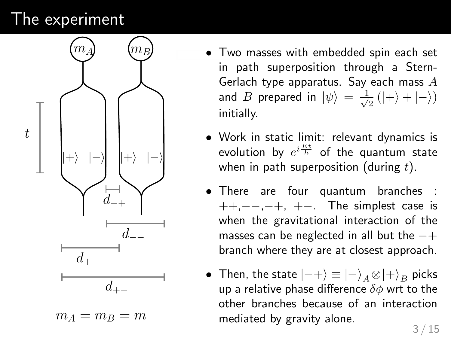### The experiment



 $m_A = m_B = m$ 

- Two masses with embedded spin each set in path superposition through a Stern-Gerlach type apparatus. Say each mass A and  $B$  prepared in  $\ket{\psi} \, = \, \frac{1}{\sqrt{2}}$  $\frac{1}{2}$  (|+) + |−)) initially.
- Work in static limit: relevant dynamics is evolution by  $e^{i\frac{Et}{\hbar}}$  of the quantum state when in path superposition (during  $t$ ).
- There are four quantum branches :  $++, --, -+, +-.$  The simplest case is when the gravitational interaction of the masses can be neglected in all but the  $-+$ branch where they are at closest approach.
- Then, the state  $|-+\rangle \equiv |-\rangle$ <sub>A</sub>  $\otimes |+\rangle$ <sub>B</sub> picks up a relative phase difference  $\delta\phi$  wrt to the other branches because of an interaction mediated by gravity alone.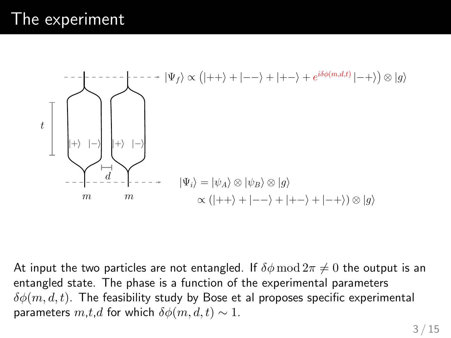

At input the two particles are not entangled. If  $\delta\phi \mod 2\pi \neq 0$  the output is an entangled state. The phase is a function of the experimental parameters  $\delta\phi(m, d, t)$ . The feasibility study by Bose et al proposes specific experimental parameters  $m, t, d$  for which  $\delta \phi(m, d, t) \sim 1$ .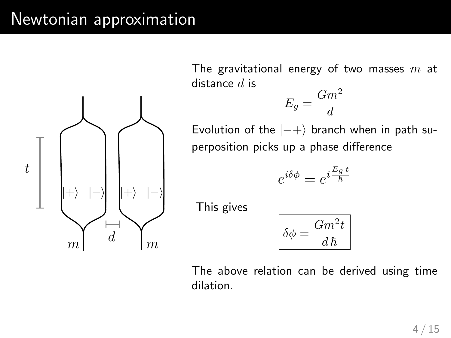#### Newtonian approximation



The gravitational energy of two masses  $m$  at distance  $d$  is

$$
E_g = \frac{Gm^2}{d}
$$

Evolution of the  $|-+\rangle$  branch when in path superposition picks up a phase difference

$$
e^{i\delta\phi} = e^{i\frac{E_g t}{\hbar}}
$$

This gives

$$
\delta \phi = \frac{Gm^2t}{d\,\hbar}
$$

The above relation can be derived using time dilation.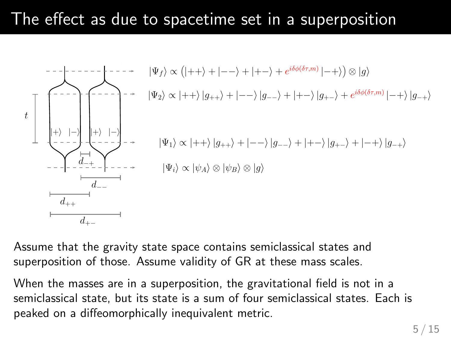### The effect as due to spacetime set in a superposition



Assume that the gravity state space contains semiclassical states and superposition of those. Assume validity of GR at these mass scales.

When the masses are in a superposition, the gravitational field is not in a semiclassical state, but its state is a sum of four semiclassical states. Each is peaked on a diffeomorphically inequivalent metric.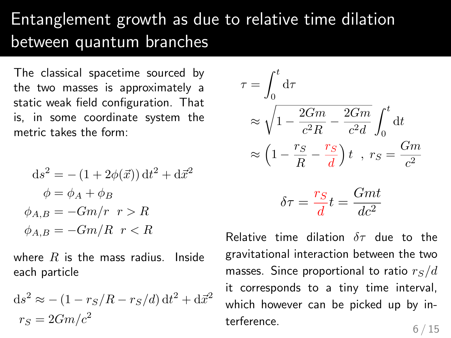# Entanglement growth as due to relative time dilation between quantum branches

The classical spacetime sourced by the two masses is approximately a static weak field configuration. That is, in some coordinate system the metric takes the form:

$$
ds2 = -(1 + 2\phi(\vec{x})) dt2 + d\vec{x}2
$$

$$
\phi = \phi_A + \phi_B
$$

$$
\phi_{A,B} = -Gm/r \quad r > R
$$

$$
\phi_{A,B} = -Gm/R \quad r < R
$$

where  $R$  is the mass radius. Inside each particle

$$
ds2 \approx -(1 - rS/R - rS/d) dt2 + d\vec{x}2
$$
  

$$
rS = 2Gm/c2
$$

$$
\tau = \int_0^t d\tau
$$
  
\n
$$
\approx \sqrt{1 - \frac{2Gm}{c^2 R} - \frac{2Gm}{c^2 d}} \int_0^t dt
$$
  
\n
$$
\approx \left(1 - \frac{r_S}{R} - \frac{r_S}{d}\right)t , r_S = \frac{Gm}{c^2}
$$
  
\n
$$
\delta \tau = \frac{r_S}{d}t = \frac{Gmt}{dc^2}
$$

Relative time dilation  $\delta\tau$  due to the gravitational interaction between the two masses. Since proportional to ratio  $r_S/d$ it corresponds to a tiny time interval, which however can be picked up by interference.  $6/15$ 

 $dc^2$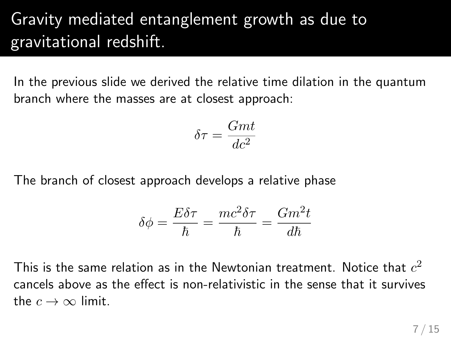# Gravity mediated entanglement growth as due to gravitational redshift.

In the previous slide we derived the relative time dilation in the quantum branch where the masses are at closest approach:

$$
\delta \tau = \frac{Gmt}{dc^2}
$$

The branch of closest approach develops a relative phase

$$
\delta\phi = \frac{E\delta\tau}{\hbar} = \frac{mc^2\delta\tau}{\hbar} = \frac{Gm^2t}{d\hbar}
$$

This is the same relation as in the Newtonian treatment. Notice that  $c^2$ cancels above as the effect is non-relativistic in the sense that it survives the  $c \to \infty$  limit.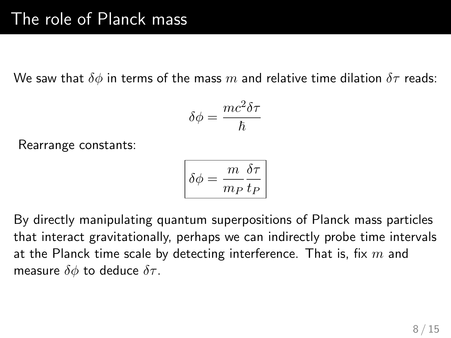We saw that  $\delta\phi$  in terms of the mass m and relative time dilation  $\delta\tau$  reads:

$$
\delta \phi = \frac{mc^2 \delta \tau}{\hbar}
$$

Rearrange constants:

$$
\boxed{\delta\phi = \frac{m}{m_P}\frac{\delta\tau}{t_P}}
$$

By directly manipulating quantum superpositions of Planck mass particles that interact gravitationally, perhaps we can indirectly probe time intervals at the Planck time scale by detecting interference. That is, fix  $m$  and measure  $\delta\phi$  to deduce  $\delta\tau$ .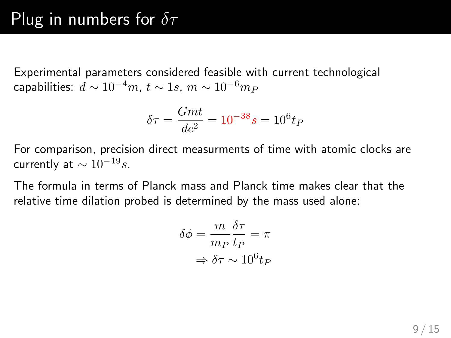Experimental parameters considered feasible with current technological capabilities:  $d \sim 10^{-4}m$ ,  $t \sim 1s$ ,  $m \sim 10^{-6}m_P$ 

$$
\delta \tau = \frac{Gmt}{dc^2} = 10^{-38}s = 10^6 t_P
$$

For comparison, precision direct measurments of time with atomic clocks are currently at  $\sim 10^{-19} s$ .

The formula in terms of Planck mass and Planck time makes clear that the relative time dilation probed is determined by the mass used alone:

$$
\delta\phi = \frac{m}{m_P} \frac{\delta\tau}{t_P} = \pi
$$

$$
\Rightarrow \delta\tau \sim 10^6 t_P
$$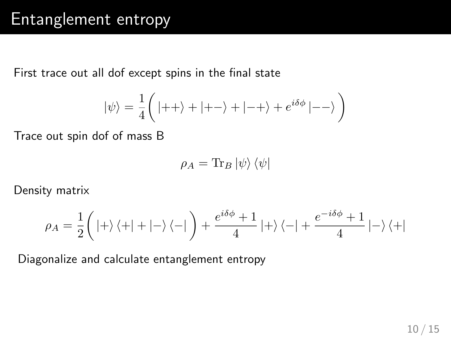### Entanglement entropy

First trace out all dof except spins in the final state

$$
|\psi\rangle=\frac{1}{4}\bigg(|++\rangle+|+-\rangle+|-+\rangle+e^{i\delta\phi}\,|--\rangle\,\bigg)
$$

Trace out spin dof of mass B

$$
\rho_A = \text{Tr}_B \left| \psi \right\rangle \left\langle \psi \right|
$$

Density matrix

$$
\rho_A=\frac{1}{2}\bigg(\left|+\right\rangle\left\langle+\right|+\left|-\right\rangle\left\langle-\right|\bigg)+\frac{e^{i\delta\phi}+1}{4}\left|+\right\rangle\left\langle-\right|+\frac{e^{-i\delta\phi}+1}{4}\left|-\right\rangle\left\langle+\right|
$$

Diagonalize and calculate entanglement entropy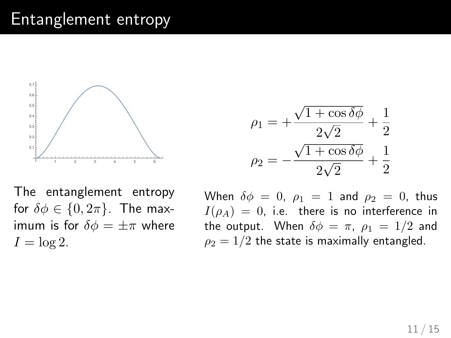#### Entanglement entropy



$$
\rho_1 = +\frac{\sqrt{1+\cos\delta\phi}}{2\sqrt{2}} + \frac{1}{2}
$$

$$
\rho_2 = -\frac{\sqrt{1+\cos\delta\phi}}{2\sqrt{2}} + \frac{1}{2}
$$

The entanglement entropy for  $\delta \phi \in \{0, 2\pi\}$ . The maximum is for  $\delta \phi = \pm \pi$  where  $I = \log 2$ .

When  $\delta \phi = 0$ ,  $\rho_1 = 1$  and  $\rho_2 = 0$ , thus  $I(\rho_A) = 0$ , i.e. there is no interference in the output. When  $\delta \phi = \pi$ ,  $\rho_1 = 1/2$  and  $\rho_2 = 1/2$  the state is maximally entangled.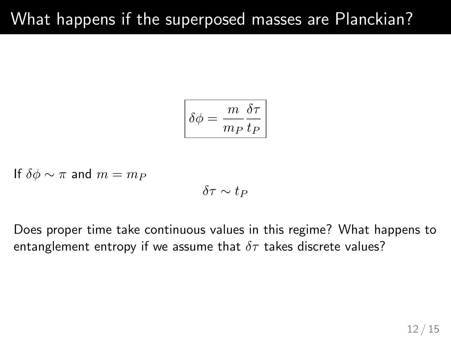$$
\boxed{\delta\phi = \frac{m}{m_P}\frac{\delta\tau}{t_P}}
$$

If 
$$
\delta \phi \sim \pi
$$
 and  $m = m_P$   
 $\delta \tau \sim t_P$ 

Does proper time take continuous values in this regime? What happens to entanglement entropy if we assume that  $\delta\tau$  takes discrete values?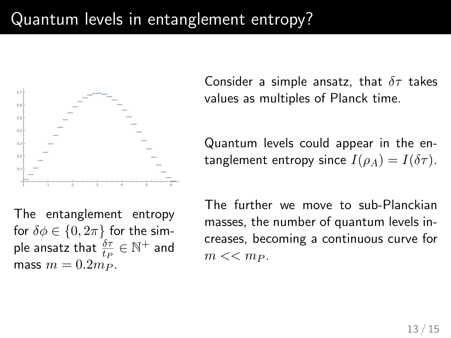# Quantum levels in entanglement entropy?



The entanglement entropy for  $\delta \phi \in \{0, 2\pi\}$  for the simple ansatz that  $\frac{\delta \tau}{t_P} \in \mathbb{N}^+$  and mass  $m = 0.2m_P$ .

Consider a simple ansatz, that  $\delta\tau$  takes values as multiples of Planck time.

Quantum levels could appear in the entanglement entropy since  $I(\rho_A) = I(\delta \tau)$ .

The further we move to sub-Planckian masses, the number of quantum levels increases, becoming a continuous curve for  $m \ll m_P$ .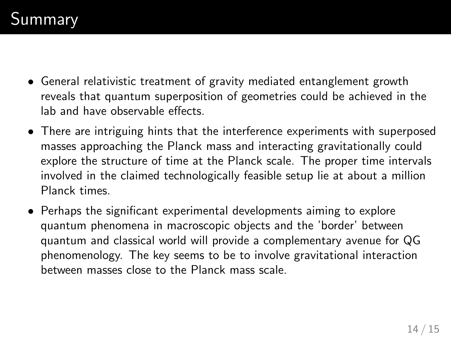- General relativistic treatment of gravity mediated entanglement growth reveals that quantum superposition of geometries could be achieved in the lab and have observable effects.
- There are intriguing hints that the interference experiments with superposed masses approaching the Planck mass and interacting gravitationally could explore the structure of time at the Planck scale. The proper time intervals involved in the claimed technologically feasible setup lie at about a million Planck times.
- Perhaps the significant experimental developments aiming to explore quantum phenomena in macroscopic objects and the 'border' between quantum and classical world will provide a complementary avenue for QG phenomenology. The key seems to be to involve gravitational interaction between masses close to the Planck mass scale.